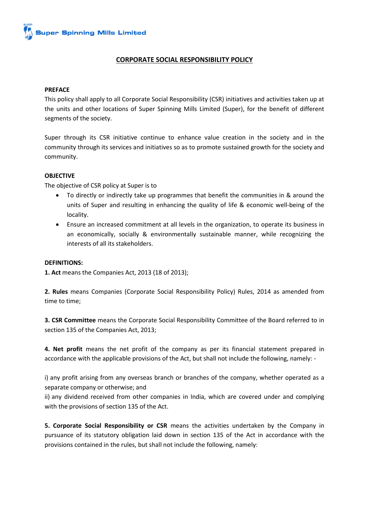# **CORPORATE SOCIAL RESPONSIBILITY POLICY**

### **PREFACE**

This policy shall apply to all Corporate Social Responsibility (CSR) initiatives and activities taken up at the units and other locations of Super Spinning Mills Limited (Super), for the benefit of different segments of the society.

Super through its CSR initiative continue to enhance value creation in the society and in the community through its services and initiatives so as to promote sustained growth for the society and community.

### **OBJECTIVE**

The objective of CSR policy at Super is to

- To directly or indirectly take up programmes that benefit the communities in & around the units of Super and resulting in enhancing the quality of life & economic well‐being of the locality.
- Ensure an increased commitment at all levels in the organization, to operate its business in an economically, socially & environmentally sustainable manner, while recognizing the interests of all its stakeholders.

#### **DEFINITIONS:**

**1. Act** means the Companies Act, 2013 (18 of 2013);

**2. Rules** means Companies (Corporate Social Responsibility Policy) Rules, 2014 as amended from time to time;

**3. CSR Committee** means the Corporate Social Responsibility Committee of the Board referred to in section 135 of the Companies Act, 2013;

**4. Net profit** means the net profit of the company as per its financial statement prepared in accordance with the applicable provisions of the Act, but shall not include the following, namely: -

i) any profit arising from any overseas branch or branches of the company, whether operated as a separate company or otherwise; and

ii) any dividend received from other companies in India, which are covered under and complying with the provisions of section 135 of the Act.

**5. Corporate Social Responsibility or CSR** means the activities undertaken by the Company in pursuance of its statutory obligation laid down in section 135 of the Act in accordance with the provisions contained in the rules, but shall not include the following, namely: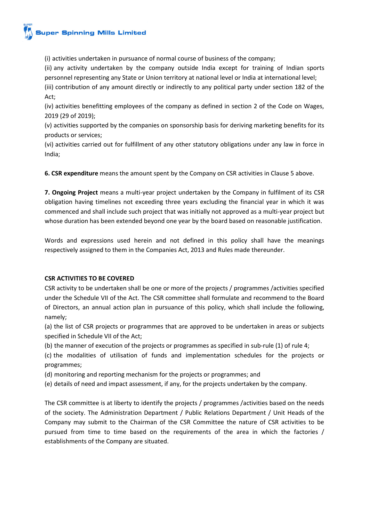(i) activities undertaken in pursuance of normal course of business of the company;

(ii) any activity undertaken by the company outside India except for training of Indian sports personnel representing any State or Union territory at national level or India at international level;

(iii) contribution of any amount directly or indirectly to any political party under section 182 of the Act;

(iv) activities benefitting employees of the company as defined in section 2 of the Code on Wages, 2019 (29 of 2019);

(v) activities supported by the companies on sponsorship basis for deriving marketing benefits for its products or services;

(vi) activities carried out for fulfillment of any other statutory obligations under any law in force in India;

**6. CSR expenditure** means the amount spent by the Company on CSR activities in Clause 5 above.

**7. Ongoing Project** means a multi-year project undertaken by the Company in fulfilment of its CSR obligation having timelines not exceeding three years excluding the financial year in which it was commenced and shall include such project that was initially not approved as a multi-year project but whose duration has been extended beyond one year by the board based on reasonable justification.

Words and expressions used herein and not defined in this policy shall have the meanings respectively assigned to them in the Companies Act, 2013 and Rules made thereunder.

# **CSR ACTIVITIES TO BE COVERED**

CSR activity to be undertaken shall be one or more of the projects / programmes /activities specified under the Schedule VII of the Act. The CSR committee shall formulate and recommend to the Board of Directors, an annual action plan in pursuance of this policy, which shall include the following, namely;

(a) the list of CSR projects or programmes that are approved to be undertaken in areas or subjects specified in Schedule VII of the Act;

(b) the manner of execution of the projects or programmes as specified in sub-rule (1) of rule 4;

(c) the modalities of utilisation of funds and implementation schedules for the projects or programmes;

(d) monitoring and reporting mechanism for the projects or programmes; and

(e) details of need and impact assessment, if any, for the projects undertaken by the company.

The CSR committee is at liberty to identify the projects / programmes /activities based on the needs of the society. The Administration Department / Public Relations Department / Unit Heads of the Company may submit to the Chairman of the CSR Committee the nature of CSR activities to be pursued from time to time based on the requirements of the area in which the factories / establishments of the Company are situated.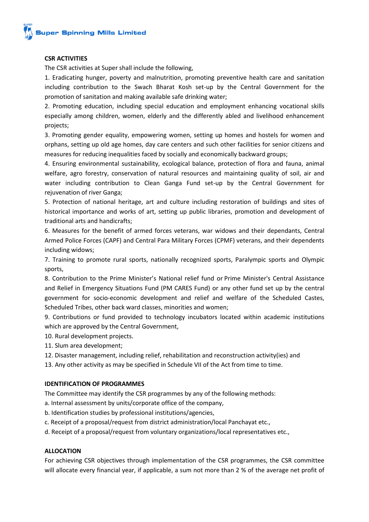## **CSR ACTIVITIES**

The CSR activities at Super shall include the following,

1. Eradicating hunger, poverty and malnutrition, promoting preventive health care and sanitation including contribution to the Swach Bharat Kosh set-up by the Central Government for the promotion of sanitation and making available safe drinking water;

2. Promoting education, including special education and employment enhancing vocational skills especially among children, women, elderly and the differently abled and livelihood enhancement projects;

3. Promoting gender equality, empowering women, setting up homes and hostels for women and orphans, setting up old age homes, day care centers and such other facilities for senior citizens and measures for reducing inequalities faced by socially and economically backward groups;

4. Ensuring environmental sustainability, ecological balance, protection of flora and fauna, animal welfare, agro forestry, conservation of natural resources and maintaining quality of soil, air and water including contribution to Clean Ganga Fund set-up by the Central Government for rejuvenation of river Ganga;

5. Protection of national heritage, art and culture including restoration of buildings and sites of historical importance and works of art, setting up public libraries, promotion and development of traditional arts and handicrafts;

6. Measures for the benefit of armed forces veterans, war widows and their dependants, Central Armed Police Forces (CAPF) and Central Para Military Forces (CPMF) veterans, and their dependents including widows;

7. Training to promote rural sports, nationally recognized sports, Paralympic sports and Olympic sports,

8. Contribution to the Prime Minister's National relief fund or Prime Minister's Central Assistance and Relief in Emergency Situations Fund (PM CARES Fund) or any other fund set up by the central government for socio‐economic development and relief and welfare of the Scheduled Castes, Scheduled Tribes, other back ward classes, minorities and women;

9. Contributions or fund provided to technology incubators located within academic institutions which are approved by the Central Government,

10. Rural development projects.

- 11. Slum area development;
- 12. Disaster management, including relief, rehabilitation and reconstruction activity(ies) and
- 13. Any other activity as may be specified in Schedule VII of the Act from time to time.

### **IDENTIFICATION OF PROGRAMMES**

The Committee may identify the CSR programmes by any of the following methods:

- a. Internal assessment by units/corporate office of the company,
- b. Identification studies by professional institutions/agencies,
- c. Receipt of a proposal/request from district administration/local Panchayat etc.,
- d. Receipt of a proposal/request from voluntary organizations/local representatives etc.,

## **ALLOCATION**

For achieving CSR objectives through implementation of the CSR programmes, the CSR committee will allocate every financial year, if applicable, a sum not more than 2 % of the average net profit of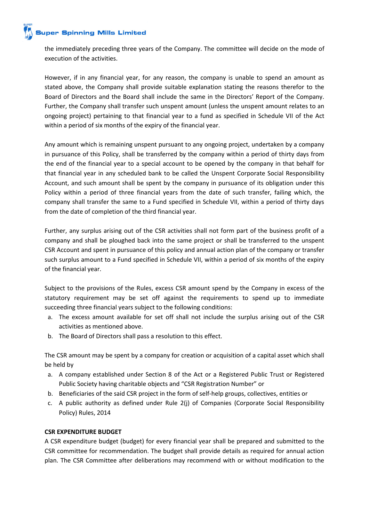# **Super Spinning Mills Limited**

the immediately preceding three years of the Company. The committee will decide on the mode of execution of the activities.

However, if in any financial year, for any reason, the company is unable to spend an amount as stated above, the Company shall provide suitable explanation stating the reasons therefor to the Board of Directors and the Board shall include the same in the Directors' Report of the Company. Further, the Company shall transfer such unspent amount (unless the unspent amount relates to an ongoing project) pertaining to that financial year to a fund as specified in Schedule VII of the Act within a period of six months of the expiry of the financial year.

Any amount which is remaining unspent pursuant to any ongoing project, undertaken by a company in pursuance of this Policy, shall be transferred by the company within a period of thirty days from the end of the financial year to a special account to be opened by the company in that behalf for that financial year in any scheduled bank to be called the Unspent Corporate Social Responsibility Account, and such amount shall be spent by the company in pursuance of its obligation under this Policy within a period of three financial years from the date of such transfer, failing which, the company shall transfer the same to a Fund specified in Schedule VII, within a period of thirty days from the date of completion of the third financial year.

Further, any surplus arising out of the CSR activities shall not form part of the business profit of a company and shall be ploughed back into the same project or shall be transferred to the unspent CSR Account and spent in pursuance of this policy and annual action plan of the company or transfer such surplus amount to a Fund specified in Schedule VII, within a period of six months of the expiry of the financial year.

Subject to the provisions of the Rules, excess CSR amount spend by the Company in excess of the statutory requirement may be set off against the requirements to spend up to immediate succeeding three financial years subject to the following conditions:

- a. The excess amount available for set off shall not include the surplus arising out of the CSR activities as mentioned above.
- b. The Board of Directors shall pass a resolution to this effect.

The CSR amount may be spent by a company for creation or acquisition of a capital asset which shall be held by

- a. A company established under Section 8 of the Act or a Registered Public Trust or Registered Public Society having charitable objects and "CSR Registration Number" or
- b. Beneficiaries of the said CSR project in the form of self-help groups, collectives, entities or
- c. A public authority as defined under Rule 2(j) of Companies (Corporate Social Responsibility Policy) Rules, 2014

# **CSR EXPENDITURE BUDGET**

A CSR expenditure budget (budget) for every financial year shall be prepared and submitted to the CSR committee for recommendation. The budget shall provide details as required for annual action plan. The CSR Committee after deliberations may recommend with or without modification to the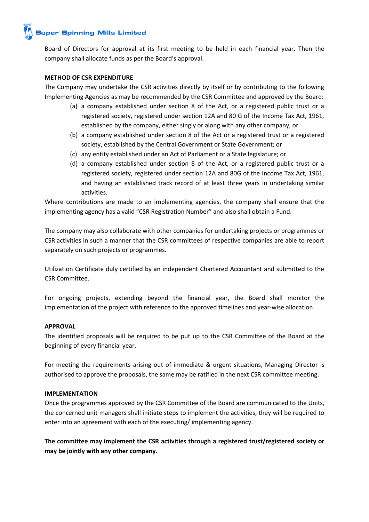

Board of Directors for approval at its first meeting to be held in each financial year. Then the company shall allocate funds as per the Board's approval.

## **METHOD OF CSR EXPENDITURE**

The Company may undertake the CSR activities directly by itself or by contributing to the following Implementing Agencies as may be recommended by the CSR Committee and approved by the Board:

- (a) a company established under section 8 of the Act, or a registered public trust or a registered society, registered under section 12A and 80 G of the Income Tax Act, 1961, established by the company, either singly or along with any other company, or
- (b) a company established under section 8 of the Act or a registered trust or a registered society, established by the Central Government or State Government; or
- (c) any entity established under an Act of Parliament or a State legislature; or
- (d) a company established under section 8 of the Act, or a registered public trust or a registered society, registered under section 12A and 80G of the Income Tax Act, 1961, and having an established track record of at least three years in undertaking similar activities.

Where contributions are made to an implementing agencies, the company shall ensure that the implementing agency has a valid "CSR Registration Number" and also shall obtain a Fund.

The company may also collaborate with other companies for undertaking projects or programmes or CSR activities in such a manner that the CSR committees of respective companies are able to report separately on such projects or programmes.

Utilization Certificate duly certified by an independent Chartered Accountant and submitted to the CSR Committee.

For ongoing projects, extending beyond the financial year, the Board shall monitor the implementation of the project with reference to the approved timelines and year-wise allocation.

### **APPROVAL**

The identified proposals will be required to be put up to the CSR Committee of the Board at the beginning of every financial year.

For meeting the requirements arising out of immediate & urgent situations, Managing Director is authorised to approve the proposals, the same may be ratified in the next CSR committee meeting.

### **IMPLEMENTATION**

Once the programmes approved by the CSR Committee of the Board are communicated to the Units, the concerned unit managers shall initiate steps to implement the activities, they will be required to enter into an agreement with each of the executing/ implementing agency.

**The committee may implement the CSR activities through a registered trust/registered society or may be jointly with any other company.**